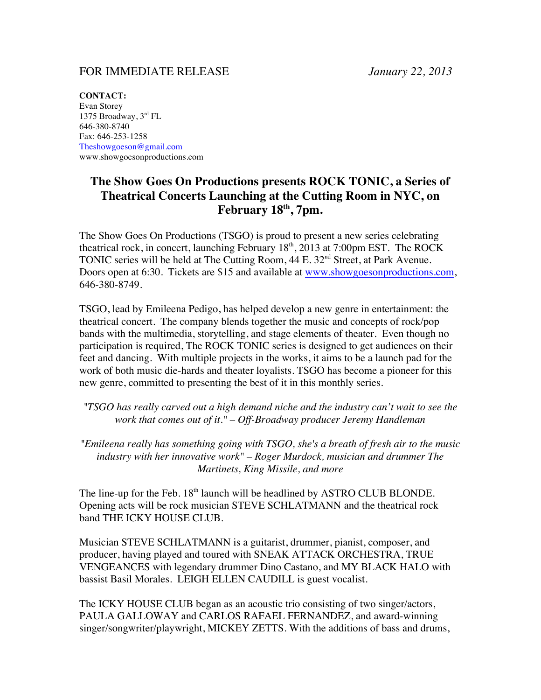## FOR IMMEDIATE RELEASE *January 22, 2013*

**CONTACT:** Evan Storey 1375 Broadway, 3rd FL 646-380-8740 Fax: 646-253-1258 Theshowgoeson@gmail.com www.showgoesonproductions.com

## **The Show Goes On Productions presents ROCK TONIC, a Series of Theatrical Concerts Launching at the Cutting Room in NYC, on February 18th, 7pm.**

The Show Goes On Productions (TSGO) is proud to present a new series celebrating theatrical rock, in concert, launching February  $18<sup>th</sup>$ ,  $2013$  at 7:00pm EST. The ROCK TONIC series will be held at The Cutting Room, 44 E. 32<sup>nd</sup> Street, at Park Avenue. Doors open at 6:30. Tickets are \$15 and available at www.showgoesonproductions.com, 646-380-8749.

TSGO, lead by Emileena Pedigo, has helped develop a new genre in entertainment: the theatrical concert. The company blends together the music and concepts of rock/pop bands with the multimedia, storytelling, and stage elements of theater. Even though no participation is required, The ROCK TONIC series is designed to get audiences on their feet and dancing. With multiple projects in the works, it aims to be a launch pad for the work of both music die-hards and theater loyalists. TSGO has become a pioneer for this new genre, committed to presenting the best of it in this monthly series.

*"TSGO has really carved out a high demand niche and the industry can't wait to see the work that comes out of it." – Off-Broadway producer Jeremy Handleman*

*"Emileena really has something going with TSGO, she's a breath of fresh air to the music industry with her innovative work" – Roger Murdock, musician and drummer The Martinets, King Missile, and more*

The line-up for the Feb.  $18<sup>th</sup>$  launch will be headlined by ASTRO CLUB BLONDE. Opening acts will be rock musician STEVE SCHLATMANN and the theatrical rock band THE ICKY HOUSE CLUB.

Musician STEVE SCHLATMANN is a guitarist, drummer, pianist, composer, and producer, having played and toured with SNEAK ATTACK ORCHESTRA, TRUE VENGEANCES with legendary drummer Dino Castano, and MY BLACK HALO with bassist Basil Morales. LEIGH ELLEN CAUDILL is guest vocalist.

The ICKY HOUSE CLUB began as an acoustic trio consisting of two singer/actors, PAULA GALLOWAY and CARLOS RAFAEL FERNANDEZ, and award-winning singer/songwriter/playwright, MICKEY ZETTS. With the additions of bass and drums,